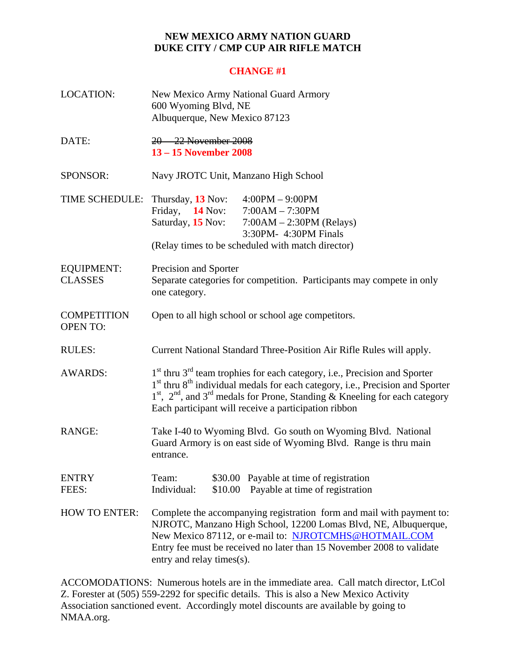## **NEW MEXICO ARMY NATION GUARD DUKE CITY / CMP CUP AIR RIFLE MATCH**

## **CHANGE #1**

| <b>LOCATION:</b>                      | New Mexico Army National Guard Armory<br>600 Wyoming Blvd, NE<br>Albuquerque, New Mexico 87123                                                                                                                                                                                                                                                          |  |  |
|---------------------------------------|---------------------------------------------------------------------------------------------------------------------------------------------------------------------------------------------------------------------------------------------------------------------------------------------------------------------------------------------------------|--|--|
| DATE:                                 | 20 - 22 November 2008<br>13 – 15 November 2008                                                                                                                                                                                                                                                                                                          |  |  |
| SPONSOR:                              | Navy JROTC Unit, Manzano High School                                                                                                                                                                                                                                                                                                                    |  |  |
| TIME SCHEDULE: Thursday, 13 Nov:      | $4:00PM - 9:00PM$<br>Friday, $14$ Nov:<br>$7:00AM - 7:30PM$<br>Saturday, 15 Nov:<br>$7:00AM - 2:30PM$ (Relays)<br>3:30PM- 4:30PM Finals<br>(Relay times to be scheduled with match director)                                                                                                                                                            |  |  |
| <b>EQUIPMENT:</b><br><b>CLASSES</b>   | Precision and Sporter<br>Separate categories for competition. Participants may compete in only<br>one category.                                                                                                                                                                                                                                         |  |  |
| <b>COMPETITION</b><br><b>OPEN TO:</b> | Open to all high school or school age competitors.                                                                                                                                                                                                                                                                                                      |  |  |
| <b>RULES:</b>                         | Current National Standard Three-Position Air Rifle Rules will apply.                                                                                                                                                                                                                                                                                    |  |  |
| <b>AWARDS:</b>                        | 1 <sup>st</sup> thru 3 <sup>rd</sup> team trophies for each category, i.e., Precision and Sporter<br>1 <sup>st</sup> thru 8 <sup>th</sup> individual medals for each category, i.e., Precision and Sporter<br>$1st$ , $2nd$ , and $3rd$ medals for Prone, Standing & Kneeling for each category<br>Each participant will receive a participation ribbon |  |  |
| <b>RANGE:</b>                         | Take I-40 to Wyoming Blvd. Go south on Wyoming Blvd. National<br>Guard Armory is on east side of Wyoming Blvd. Range is thru main<br>entrance.                                                                                                                                                                                                          |  |  |
| <b>ENTRY</b><br>FEES:                 | Team:<br>Payable at time of registration<br>\$30.00<br>Individual:<br>Payable at time of registration<br>\$10.00                                                                                                                                                                                                                                        |  |  |
| <b>HOW TO ENTER:</b>                  | Complete the accompanying registration form and mail with payment to:<br>NJROTC, Manzano High School, 12200 Lomas Blvd, NE, Albuquerque,<br>New Mexico 87112, or e-mail to: NJROTCMHS@HOTMAIL.COM<br>Entry fee must be received no later than 15 November 2008 to validate<br>entry and relay times(s).                                                 |  |  |

ACCOMODATIONS: Numerous hotels are in the immediate area. Call match director, LtCol Z. Forester at (505) 559-2292 for specific details. This is also a New Mexico Activity Association sanctioned event. Accordingly motel discounts are available by going to NMAA.org.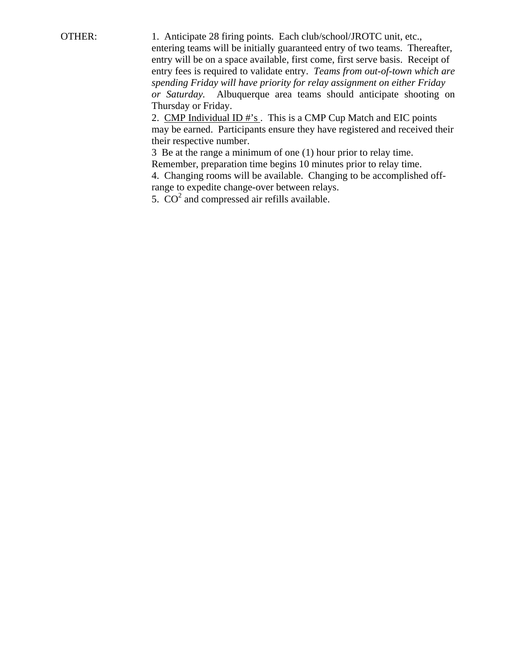OTHER: 1. Anticipate 28 firing points. Each club/school/JROTC unit, etc., entering teams will be initially guaranteed entry of two teams. Thereafter, entry will be on a space available, first come, first serve basis. Receipt of entry fees is required to validate entry. *Teams from out-of-town which are spending Friday will have priority for relay assignment on either Friday or Saturday.* Albuquerque area teams should anticipate shooting on Thursday or Friday.

2. CMP Individual ID #'s. This is a CMP Cup Match and EIC points may be earned. Participants ensure they have registered and received their their respective number.

 3 Be at the range a minimum of one (1) hour prior to relay time. Remember, preparation time begins 10 minutes prior to relay time.

 4. Changing rooms will be available. Changing to be accomplished off range to expedite change-over between relays.

5.  $CO<sup>2</sup>$  and compressed air refills available.